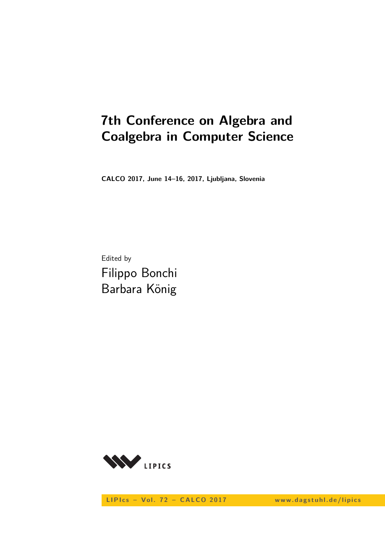# **7th Conference on Algebra and Coalgebra in Computer Science**

**CALCO 2017, June 14–16, 2017, Ljubljana, Slovenia**

Edited by Filippo Bonchi Barbara König



LIPIcs - Vol. 72 - CALCO 2017 www.dagstuhl.de/lipics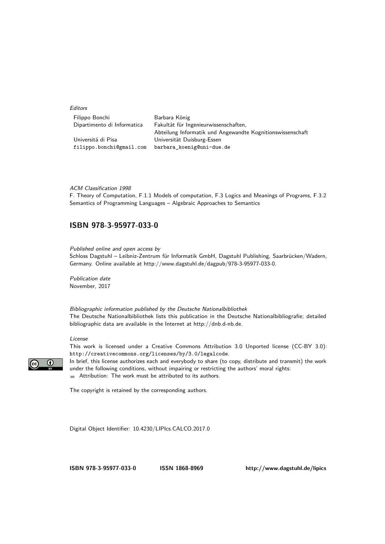**Editors** 

| Filippo Bonchi              | Barbara König                                              |
|-----------------------------|------------------------------------------------------------|
| Dipartimento di Informatica | Fakultät für Ingenieurwissenschaften.                      |
|                             | Abteilung Informatik und Angewandte Kognitionswissenschaft |
| Universitá di Pisa          | Universität Duisburg-Essen                                 |
| filippo.bonchi@gmail.com    | barbara koenig@uni-due.de                                  |

#### ACM Classification 1998

F. Theory of Computation, F.1.1 Models of computation, F.3 Logics and Meanings of Programs, F.3.2 Semantics of Programming Languages – Algebraic Approaches to Semantics

### **[ISBN 978-3-95977-033-0](http://www.dagstuhl.de/dagpub/978-3-95977-033-0)**

Published online and open access by

Schloss Dagstuhl – Leibniz-Zentrum für Informatik GmbH, Dagstuhl Publishing, Saarbrücken/Wadern, Germany. Online available at [http://www.dagstuhl.de/dagpub/978-3-95977-033-0.](http://www.dagstuhl.de/dagpub/978-3-95977-033-0)

Publication date November, 2017

Bibliographic information published by the Deutsche Nationalbibliothek The Deutsche Nationalbibliothek lists this publication in the Deutsche Nationalbibliografie; detailed bibliographic data are available in the Internet at [http://dnb.d-nb.de.](http://dnb.d-nb.de)

#### License

 $\odot$ 

This work is licensed under a Creative Commons Attribution 3.0 Unported license (CC-BY 3.0): http://creativecommons.org/licenses/by/3.0/legalcode.

In brief, this license authorizes each and everybody to share (to copy, distribute and transmit) the work under the following conditions, without impairing or restricting the authors' moral rights: Attribution: The work must be attributed to its authors.

The copyright is retained by the corresponding authors.

Digital Object Identifier: [10.4230/LIPIcs.CALCO.2017.0](http://dx.doi.org/10.4230/LIPIcs.CALCO.2017.0)

**[ISBN 978-3-95977-033-0](http://www.dagstuhl.de/dagpub/978-3-95977-033-0) [ISSN 1868-8969](http://drops.dagstuhl.de/lipics)<http://www.dagstuhl.de/lipics>**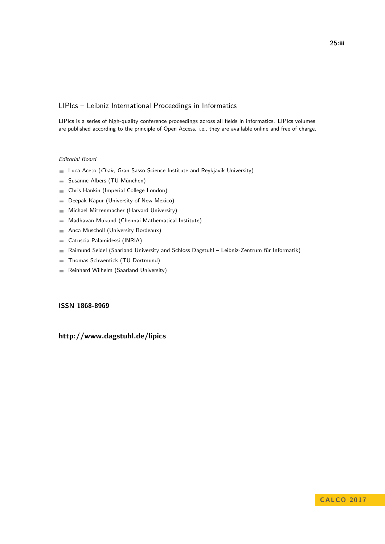### LIPIcs – Leibniz International Proceedings in Informatics

LIPIcs is a series of high-quality conference proceedings across all fields in informatics. LIPIcs volumes are published according to the principle of Open Access, i.e., they are available online and free of charge.

#### Editorial Board

- **Luca Aceto** (*Chair*, Gran Sasso Science Institute and Reykjavik University)
- Susanne Albers (TU München)  $\equiv$
- Chris Hankin (Imperial College London)  $\blacksquare$
- Deepak Kapur (University of New Mexico)  $\equiv$
- Michael Mitzenmacher (Harvard University)  $\sim$
- Madhavan Mukund (Chennai Mathematical Institute)  $\overline{\phantom{a}}$
- Anca Muscholl (University Bordeaux)  $\blacksquare$
- Catuscia Palamidessi (INRIA)  $\overline{\phantom{a}}$
- Raimund Seidel (Saarland University and Schloss Dagstuhl Leibniz-Zentrum für Informatik)  $\blacksquare$
- Thomas Schwentick (TU Dortmund)  $\overline{a}$
- Reinhard Wilhelm (Saarland University)  $\bar{a}$

#### **[ISSN 1868-8969](http://www.dagstuhl.de/dagpub/1868-8969)**

## **<http://www.dagstuhl.de/lipics>**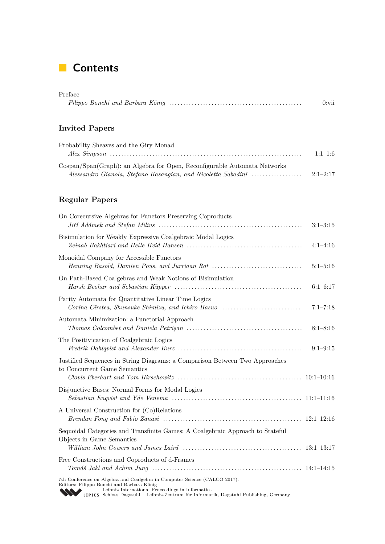# **Contents**

| Preface               |          |
|-----------------------|----------|
|                       | $0:$ vii |
|                       |          |
|                       |          |
| <b>Invited Papers</b> |          |

| Probability Sheaves and the Giry Monad                                    |           |
|---------------------------------------------------------------------------|-----------|
|                                                                           | $1:1-1:6$ |
| Cospan/Span(Graph): an Algebra for Open, Reconfigurable Automata Networks |           |
|                                                                           |           |

## **Regular Papers**

| On Corecursive Algebras for Functors Preserving Coproducts                                                                                                                                                                                                           | $3:1-3:15$   |
|----------------------------------------------------------------------------------------------------------------------------------------------------------------------------------------------------------------------------------------------------------------------|--------------|
| Bisimulation for Weakly Expressive Coalgebraic Modal Logics                                                                                                                                                                                                          | $4:1-4:16$   |
| Monoidal Company for Accessible Functors                                                                                                                                                                                                                             | $5:1-5:16$   |
| On Path-Based Coalgebras and Weak Notions of Bisimulation                                                                                                                                                                                                            | $6:1-6:17$   |
| Parity Automata for Quantitative Linear Time Logics<br>Corina Cirstea, Shunsuke Shimizu, and Ichiro Hasuo                                                                                                                                                            | $7:1 - 7:18$ |
| Automata Minimization: a Functorial Approach                                                                                                                                                                                                                         | $8:1 - 8:16$ |
| The Positivication of Coalgebraic Logics                                                                                                                                                                                                                             | $9:1-9:15$   |
| Justified Sequences in String Diagrams: a Comparison Between Two Approaches<br>to Concurrent Game Semantics                                                                                                                                                          |              |
| Disjunctive Bases: Normal Forms for Modal Logics                                                                                                                                                                                                                     |              |
| A Universal Construction for (Co)Relations                                                                                                                                                                                                                           |              |
| Sequoidal Categories and Transfinite Games: A Coalgebraic Approach to Stateful<br>Objects in Game Semantics                                                                                                                                                          |              |
| Free Constructions and Coproducts of d-Frames                                                                                                                                                                                                                        |              |
| 7th Conference on Algebra and Coalgebra in Computer Science (CALCO 2017).<br>Editors: Filippo Bonchi and Barbara König<br>Leibniz International Proceedings in Informatics<br>LIPICS Schloss Dagstuhl - Leibniz-Zentrum für Informatik, Dagstuhl Publishing, Germany |              |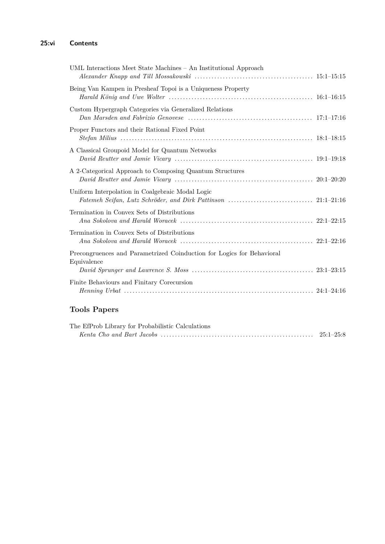| UML Interactions Meet State Machines - An Institutional Approach                     |  |
|--------------------------------------------------------------------------------------|--|
| Being Van Kampen in Presheaf Topoi is a Uniqueness Property                          |  |
| Custom Hypergraph Categories via Generalized Relations                               |  |
| Proper Functors and their Rational Fixed Point                                       |  |
| A Classical Groupoid Model for Quantum Networks                                      |  |
| A 2-Categorical Approach to Composing Quantum Structures                             |  |
| Uniform Interpolation in Coalgebraic Modal Logic                                     |  |
| Termination in Convex Sets of Distributions                                          |  |
| Termination in Convex Sets of Distributions                                          |  |
| Precongruences and Parametrized Coinduction for Logics for Behavioral<br>Equivalence |  |
|                                                                                      |  |
| Finite Behaviours and Finitary Corecursion                                           |  |

## **Tools Papers**

| The EfProb Library for Probabilistic Calculations |  |
|---------------------------------------------------|--|
|                                                   |  |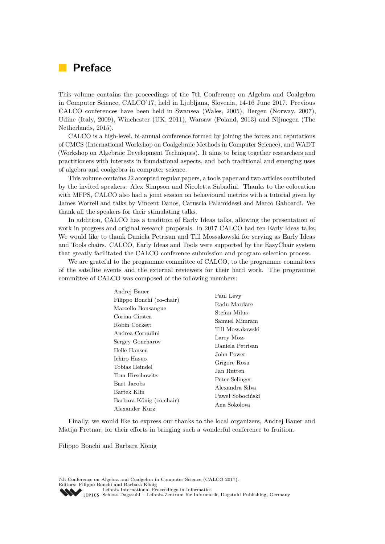# **Preface**

This volume contains the proceedings of the 7th Conference on Algebra and Coalgebra in Computer Science, CALCO'17, held in Ljubljana, Slovenia, 14-16 June 2017. Previous CALCO conferences have been held in Swansea (Wales, 2005), Bergen (Norway, 2007), Udine (Italy, 2009), Winchester (UK, 2011), Warsaw (Poland, 2013) and Nijmegen (The Netherlands, 2015).

CALCO is a high-level, bi-annual conference formed by joining the forces and reputations of CMCS (International Workshop on Coalgebraic Methods in Computer Science), and WADT (Workshop on Algebraic Development Techniques). It aims to bring together researchers and practitioners with interests in foundational aspects, and both traditional and emerging uses of algebra and coalgebra in computer science.

This volume contains 22 accepted regular papers, a tools paper and two articles contributed by the invited speakers: Alex Simpson and Nicoletta Sabadini. Thanks to the colocation with MFPS, CALCO also had a joint session on behavioural metrics with a tutorial given by James Worrell and talks by Vincent Danos, Catuscia Palamidessi and Marco Gaboardi. We thank all the speakers for their stimulating talks.

In addition, CALCO has a tradition of Early Ideas talks, allowing the presentation of work in progress and original research proposals. In 2017 CALCO had ten Early Ideas talks. We would like to thank Daniela Petrisan and Till Mossakowski for serving as Early Ideas and Tools chairs. CALCO, Early Ideas and Tools were supported by the EasyChair system that greatly facilitated the CALCO conference submission and program selection process.

We are grateful to the programme committee of CALCO, to the programme committees of the satellite events and the external reviewers for their hard work. The programme committee of CALCO was composed of the following members:

| Andrej Bauer                               |                                     |  |  |
|--------------------------------------------|-------------------------------------|--|--|
| Filippo Bonchi (co-chair)                  | Paul Levy                           |  |  |
| Marcello Bonsangue                         | Radu Mardare<br>Stefan Milus        |  |  |
| Corina Cîrstea                             | Samuel Mimram                       |  |  |
| Robin Cockett<br>Andrea Corradini          | Till Mossakowski                    |  |  |
| Sergey Goncharov                           | Larry Moss<br>Daniela Petrisan      |  |  |
| Helle Hansen<br>Ichiro Hasuo               | John Power                          |  |  |
| Tobias Heindel                             | Grigore Rosu<br>Jan Rutten          |  |  |
| Tom Hirschowitz<br>Bart Jacobs             | Peter Selinger                      |  |  |
| Bartek Klin                                | Alexandra Silva<br>Paweł Sobociński |  |  |
| Barbara König (co-chair)<br>Alexander Kurz | Ana Sokolova                        |  |  |

Finally, we would like to express our thanks to the local organizers, Andrej Bauer and Matija Pretnar, for their efforts in bringing such a wonderful conference to fruition.

Filippo Bonchi and Barbara König

7th Conference on Algebra and Coalgebra in Computer Science (CALCO 2017). Editors: Filippo Bonchi and Barbara König [Leibniz International Proceedings in Informatics](http://www.dagstuhl.de/en/publications/lipics/) SCHLOSS Dagstuhl – Leibniz-Zentrum für Informatik, Dagstuhl Publishing, Germany